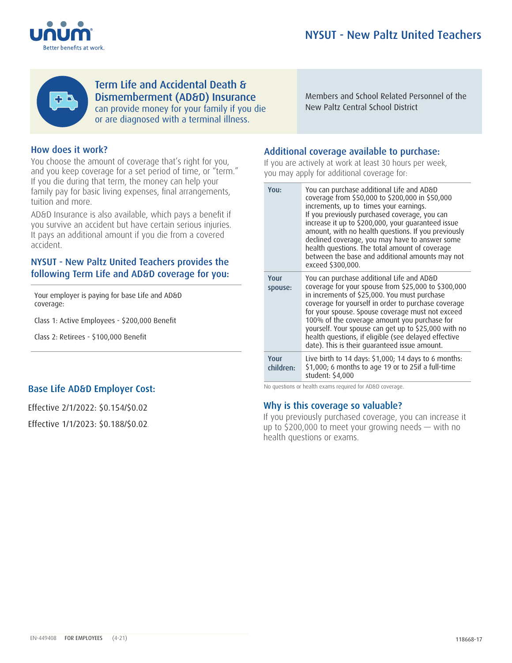



Dismemberment (AD&D) Insurance Members and School Related Personnel of the can provide money for your family if you die **or are diagnosed with a terminal in** terminal school District Term Life and Accidental Death & or are diagnosed with a terminal illness.

Members and School Related Personnel of the New Paltz Central School District

## How does it work? How does it work?

You choose the amount of coverage that's right for you, and you keep coverage for a set period of time, or "term." If you die during that term, the money can help your family pay for basic living expenses, final arrangements, tuition and more. **Example** 

AD&D Insurance is also available, which pays a benefit if you survive an accident but have certain serious injuries. accident. It pays an additional amount if you die from a covered

### If you previously purchased coverage, you can increase it up to up to up to up to up to up to up to up to up to up to up to up to up to up to up to up to up to up to up to up to up to up to up to up to up to up to up to u NYSUT - New Paltz United Teachers provides the following Term Life and AD&D coverage for you:

Your employer is paying for base Life and AD&D coverage:

Class 1: Active Employees - \$200,000 Benefit

Class 2: Retirees - \$100,000 Benefit

# Base Life AD&D Employer Cost:

Effective 2/1/2022: \$0.154/\$0.02

Effective 1/1/2023: \$0.188/\$0.02.

## Additional coverage available to purchase:

If you are actively at work at least 30 hours per week, you may apply for additional coverage for:

| You:              | You can purchase additional Life and AD&D<br>coverage from \$50,000 to \$200,000 in \$50,000<br>increments, up to times your earnings.<br>If you previously purchased coverage, you can<br>increase it up to \$200,000, your guaranteed issue<br>amount, with no health questions. If you previously<br>declined coverage, you may have to answer some<br>health questions. The total amount of coverage<br>between the base and additional amounts may not<br>exceed \$300,000. |
|-------------------|----------------------------------------------------------------------------------------------------------------------------------------------------------------------------------------------------------------------------------------------------------------------------------------------------------------------------------------------------------------------------------------------------------------------------------------------------------------------------------|
| Your<br>spouse:   | You can purchase additional Life and AD&D<br>coverage for your spouse from \$25,000 to \$300,000<br>in increments of \$25,000. You must purchase<br>coverage for yourself in order to purchase coverage<br>for your spouse. Spouse coverage must not exceed<br>100% of the coverage amount you purchase for<br>yourself. Your spouse can get up to \$25,000 with no<br>health questions, if eligible (see delayed effective<br>date). This is their guaranteed issue amount.     |
| Your<br>children: | Live birth to 14 days: $$1,000;$ 14 days to 6 months:<br>\$1,000; 6 months to age 19 or to 25if a full-time<br>student: \$4,000                                                                                                                                                                                                                                                                                                                                                  |

Who can get Accidental Death & Dismemberment No questions or health exams required for AD&D coverage.

## Why is this coverage so valuable?

If you previously purchased coverage, you can increase it up to \$200,000 to meet your growing needs — with no health questions or exams.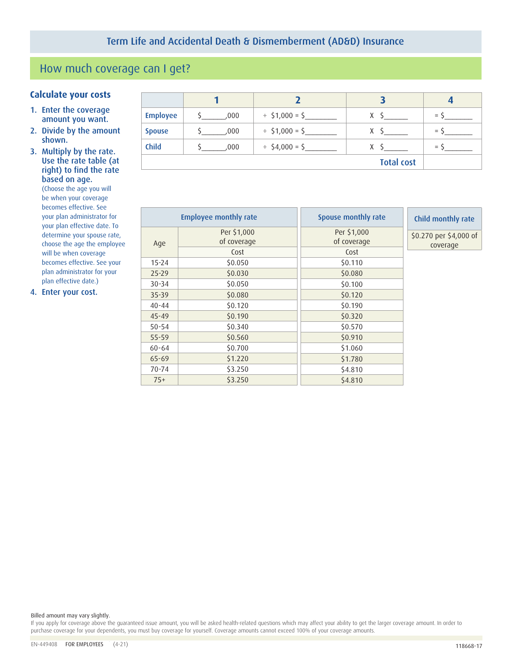# How much coverage can I get?

## **Calculate your costs <sup>1</sup> <sup>2</sup> <sup>3</sup> <sup>4</sup>**

- 1. Enter the coverage amount you want.
- 2. Divide by the amount shown.
- 3. Multiply by the rate. Use the rate table (at right) to find the rate based on age.

(Choose the age you will be when your coverage becomes effective. See your plan administrator for your plan effective date. To determine your spouse rate, choose the age the employee will be when coverage becomes effective. See your plan administrator for your plan effective date.)

4. Enter your cost.

| <b>Employee</b>   | .000 | $\div$ \$1,000 = \$ | X | $=$ |  |
|-------------------|------|---------------------|---|-----|--|
| <b>Spouse</b>     | .000 | $\div$ \$1,000 = \$ | X | $=$ |  |
| <b>Child</b>      | .000 | $\div$ \$4,000 = \$ | X | $=$ |  |
| <b>Total cost</b> |      |                     |   |     |  |

|           | <b>Employee monthly rate</b> | Spouse monthly rate        | Child monthly rate                 |  |
|-----------|------------------------------|----------------------------|------------------------------------|--|
| Age       | Per \$1,000<br>of coverage   | Per \$1,000<br>of coverage | \$0.270 per \$4,000 of<br>coverage |  |
|           | Cost                         | Cost                       |                                    |  |
| $15 - 24$ | \$0.050                      | \$0.110                    |                                    |  |
| $25 - 29$ | \$0.030                      | \$0.080                    |                                    |  |
| $30 - 34$ | \$0.050                      | \$0.100                    |                                    |  |
| $35 - 39$ | \$0.080                      | \$0.120                    |                                    |  |
| $40 - 44$ | \$0.120                      | \$0.190                    |                                    |  |
| $45 - 49$ | \$0.190                      | \$0.320                    |                                    |  |
| $50 - 54$ | \$0.340                      | \$0.570                    |                                    |  |
| 55-59     | \$0.560                      | \$0.910                    |                                    |  |
| $60 - 64$ | \$0.700                      | \$1.060                    |                                    |  |
| $65 - 69$ | \$1.220                      | \$1.780                    |                                    |  |
| $70 - 74$ | \$3.250                      | \$4.810                    |                                    |  |
| $75+$     | \$3.250                      | \$4.810                    |                                    |  |

Billed amount may vary slightly.

If you apply for coverage above the guaranteed issue amount, you will be asked health-related questions which may affect your ability to get the larger coverage amount. In order to purchase coverage for your dependents, you must buy coverage for yourself. Coverage amounts cannot exceed 100% of your coverage amounts.